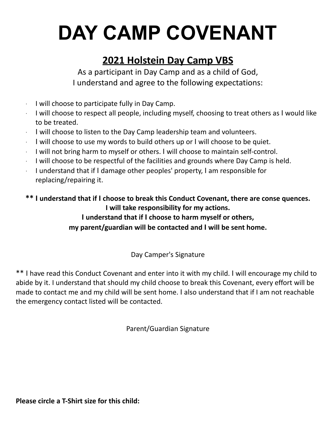## **DAY CAMP COVENANT**

## **2021 Holstein Day Camp VBS**

As a participant in Day Camp and as a child of God, I understand and agree to the following expectations:

- ∙ I will choose to participate fully in Day Camp.
- <sup>∙</sup> I will choose to respect all people, including myself, choosing to treat others as I would like to be treated.
- <sup>∙</sup> I will choose to listen to the Day Camp leadership team and volunteers.
- <sup>∙</sup> I will choose to use my words to build others up or I will choose to be quiet.
- <sup>∙</sup> I will not bring harm to myself or others. I will choose to maintain self-control.
- ∙ I will choose to be respectful of the facilities and grounds where Day Camp is held.
- <sup>∙</sup> I understand that if I damage other peoples' property, I am responsible for replacing/repairing it.

**\*\* I understand that if I choose to break this Conduct Covenant, there are conse quences. I will take responsibility for my actions.**

**I understand that if I choose to harm myself or others,**

**my parent/guardian will be contacted and I will be sent home.**

Day Camper's Signature

\*\* I have read this Conduct Covenant and enter into it with my child. I will encourage my child to abide by it. I understand that should my child choose to break this Covenant, every effort will be made to contact me and my child will be sent home. I also understand that if I am not reachable the emergency contact listed will be contacted.

Parent/Guardian Signature

**Please circle a T-Shirt size for this child:**